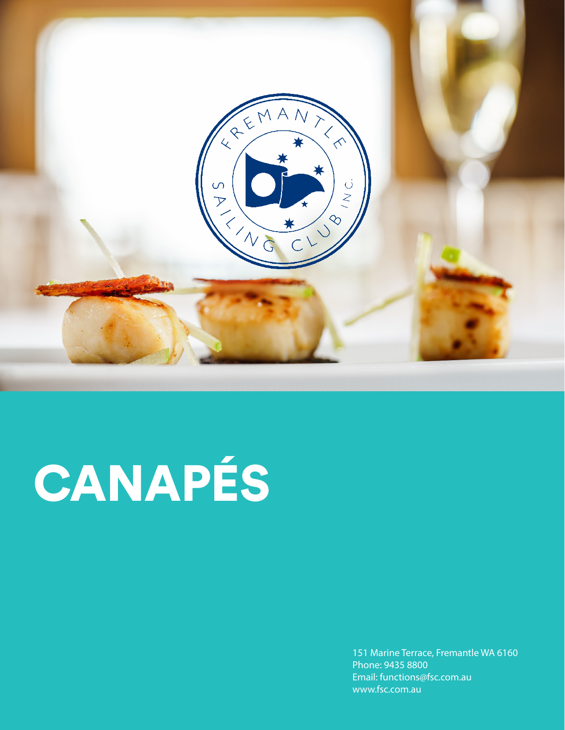

# CANAPÉS

151 Marine Terrace, Fremantle WA 6160 Phone: 9435 8800 Email: functions@fsc.com.au www.fsc.com.au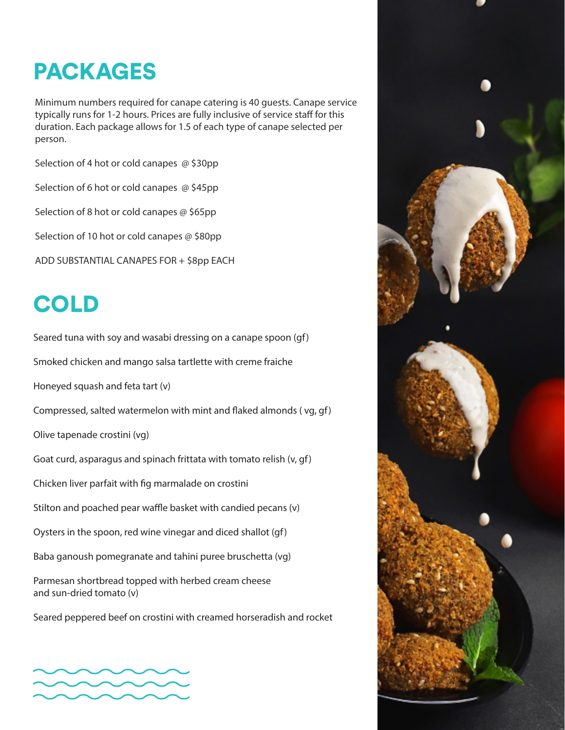### PACKAGES

Minimum numbers required for canape catering is 40 guests. Canape service typically runs for 1-2 hours. Prices are fully inclusive of service staff for this duration. Each package allows for 1.5 of each type of canape selected per person.

Selection of 4 hot or cold canapes @ \$30pp

Selection of 6 hot or cold canapes @ \$45pp

Selection of 8 hot or cold canapes @ \$65pp

Selection of 10 hot or cold canapes @ \$80pp

ADD SUBSTANTIAL CANAPES FOR + \$8pp EACH

## COLD

Seared tuna with soy and wasabi dressing on a canape spoon (gf)

Smoked chicken and mango salsa tartlette with creme fraiche

Honeyed squash and feta tart (v)

Compressed, salted watermelon with mint and flaked almonds ( vg, gf)

Olive tapenade crostini (vg)

Goat curd, asparagus and spinach frittata with tomato relish (v, gf)

Chicken liver parfait with fig marmalade on crostini

Stilton and poached pear waffle basket with candied pecans (v)

Oysters in the spoon, red wine vinegar and diced shallot (gf)

Baba ganoush pomegranate and tahini puree bruschetta (vg)

Parmesan shortbread topped with herbed cream cheese and sun-dried tomato (v)

Seared peppered beef on crostini with creamed horseradish and rocket



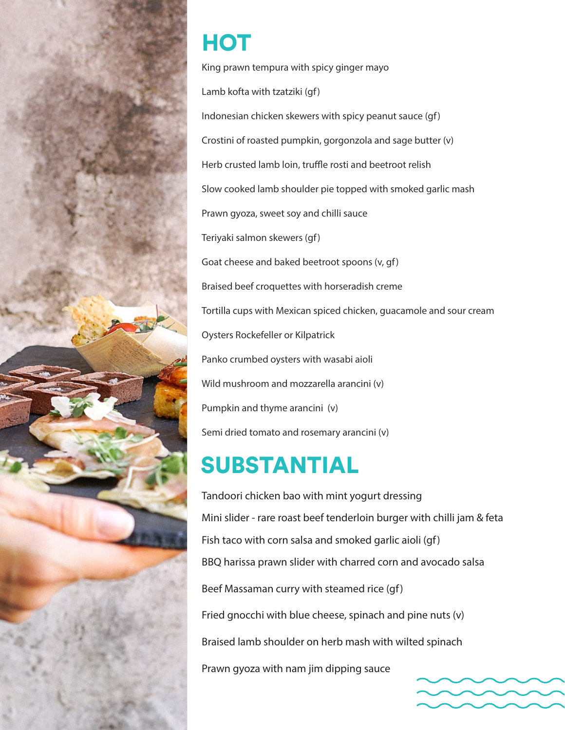

## HOT

King prawn tempura with spicy ginger mayo Lamb kofta with tzatziki (gf) Indonesian chicken skewers with spicy peanut sauce (gf) Crostini of roasted pumpkin, gorgonzola and sage butter (v) Herb crusted lamb loin, truffle rosti and beetroot relish Slow cooked lamb shoulder pie topped with smoked garlic mash Prawn gyoza, sweet soy and chilli sauce Teriyaki salmon skewers (gf) Goat cheese and baked beetroot spoons (v, gf) Braised beef croquettes with horseradish creme Tortilla cups with Mexican spiced chicken, guacamole and sour cream Oysters Rockefeller or Kilpatrick Panko crumbed oysters with wasabi aioli Wild mushroom and mozzarella arancini (v) Pumpkin and thyme arancini (v) Semi dried tomato and rosemary arancini (v)

### SUBSTANTIAL

Tandoori chicken bao with mint yogurt dressing Mini slider - rare roast beef tenderloin burger with chilli jam & feta Fish taco with corn salsa and smoked garlic aioli (gf) BBQ harissa prawn slider with charred corn and avocado salsa Beef Massaman curry with steamed rice (gf) Fried gnocchi with blue cheese, spinach and pine nuts (v) Braised lamb shoulder on herb mash with wilted spinach Prawn gyoza with nam jim dipping sauce